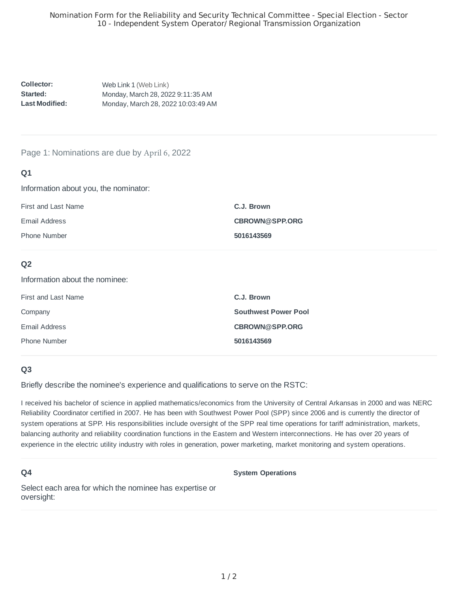**Collector:: Started: : Last Modified::**  Web Link 1 (Web Link) Monday, March 28, 2022 9:11:35 AM Monday, March 28, 2022 10:03:49 AM

#### Page 1: Nominations are due by April 6, 2022

## **Q1**

Information about you, the nominator:

| First and Last Name | C.J. Brown            |
|---------------------|-----------------------|
| Email Address       | <b>CBROWN@SPP.ORG</b> |
| <b>Phone Number</b> | 5016143569            |

## **Q2**

Information about the nominee:

| First and Last Name | C.J. Brown                  |
|---------------------|-----------------------------|
| Company             | <b>Southwest Power Pool</b> |
| Email Address       | CBROWN@SPP.ORG              |
| Phone Number        | 5016143569                  |
|                     |                             |

## **Q3**

Briefly describe the nominee's experience and qualifications to serve on the RSTC:

I received his bachelor of science in applied mathematics/economics from the University of Central Arkansas in 2000 and was NERC Reliability Coordinator certified in 2007. He has been with Southwest Power Pool (SPP) since 2006 and is currently the director of system operations at SPP. His responsibilities include oversight of the SPP real time operations for tariff administration, markets, balancing authority and reliability coordination functions in the Eastern and Western interconnections. He has over 20 years of experience in the electric utility industry with roles in generation, power marketing, market monitoring and system operations.

## **Q4**

**System Operations**

Select each area for which the nominee has expertise or oversight: